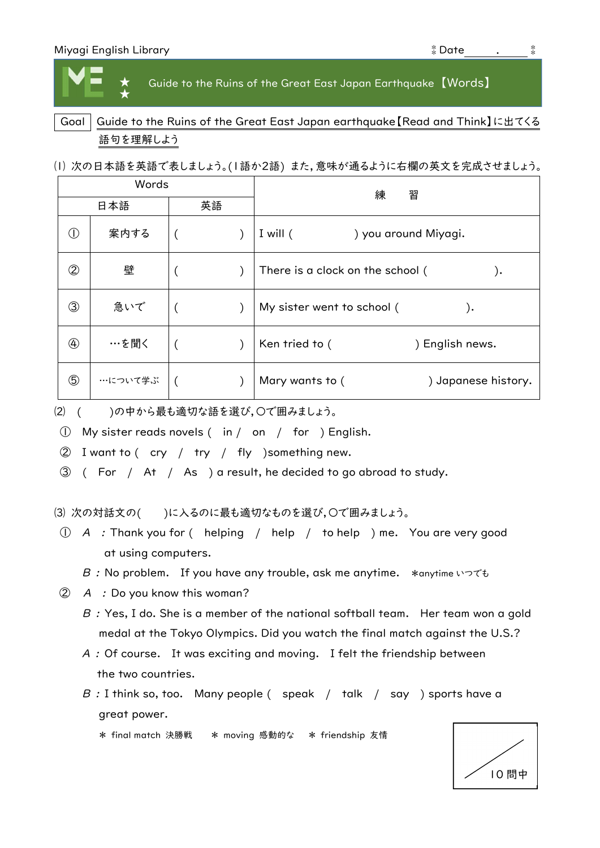★ ★ Guide to the Ruins of the Great East Japan Earthquake 【Words】

## Goal | Guide to the Ruins of the Great East Japan earthquake [Read and Think]に出てくる 語句を理解しよう

⑴ 次の日本語を英語で表しましょう。(1語か2語) また,意味が通るように右欄の英文を完成させましょう。

| Words                      |         |    |  | 練<br>習                                  |
|----------------------------|---------|----|--|-----------------------------------------|
| 日本語                        |         | 英語 |  |                                         |
| $\circled{\scriptstyle 0}$ | 案内する    |    |  | I will $($<br>) you around Miyagi.      |
| $^{\circledR}$             | 壁       |    |  | There is a clock on the school (<br>. ( |
| ③                          | 急いで     |    |  | My sister went to school (<br>).        |
| $\circledA$                | …を聞く    |    |  | Ken tried to (<br>) English news.       |
| $\circledS$                | …について学ぶ |    |  | ) Japanese history.<br>Mary wants to (  |

⑵ ( )の中から最も適切な語を選び,〇で囲みましょう。

① My sister reads novels ( in / on / for ) English.

② I want to ( cry / try / fly )something new.

③ ( For / At / As ) a result, he decided to go abroad to study.

(3) 次の対話文の()に入るのに最も適切なものを選び,〇で囲みましょう。

① A : Thank you for ( helping / help / to help ) me. You are very good at using computers.

B : No problem. If you have any trouble, ask me anytime. \*anytime いつでも

② A : Do you know this woman?

- $\emph{B} \,$  : Yes, I do. She is a member of the national softball team.  $\,$  Her team won a gold medal at the Tokyo Olympics. Did you watch the final match against the U.S.?
- ${\mathcal A}$  : Of course.  $\,$  It was exciting and moving.  $\,$  I felt the friendship between the two countries.
- $\, B \,$  : I think so, too.  $\,$  Many people (  $\,$  speak  $\,$  /  $\,$  talk  $\,$  /  $\,$  say  $\,$  ) sports have a great power.

\* final match 決勝戦 \* moving 感動的な \* friendship 友情